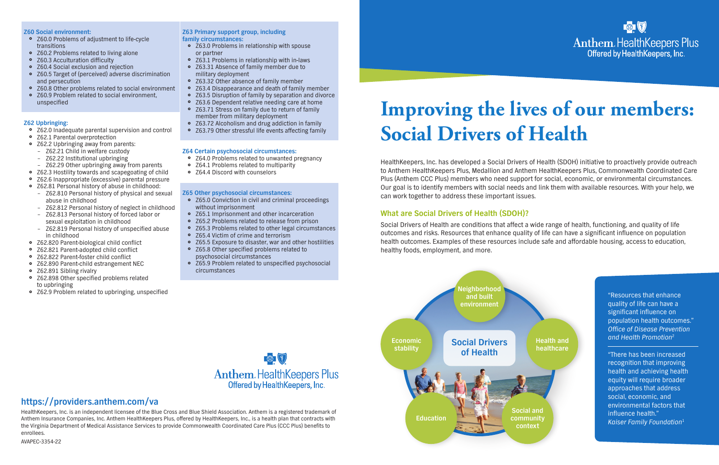AVAPEC-3354-22



Anthem. Health Keepers Plus<br>Offered by Health Keepers, Inc.

HealthKeepers, Inc. is an independent licensee of the Blue Cross and Blue Shield Association. Anthem is a registered trademark of Anthem Insurance Companies, Inc. Anthem HealthKeepers Plus, offered by HealthKeepers, Inc., is a health plan that contracts with the Virginia Department of Medical Assistance Services to provide Commonwealth Coordinated Care Plus (CCC Plus) benefits to enrollees.

# **https://providers.anthem.com/va**

HealthKeepers, Inc. has developed a Social Drivers of Health (SDOH) initiative to proactively provide outreach to Anthem HealthKeepers Plus, Medallion and Anthem HealthKeepers Plus, Commonwealth Coordinated Care Plus (Anthem CCC Plus) members who need support for social, economic, or environmental circumstances. Our goal is to identify members with social needs and link them with available resources. With your help, we can work together to address these important issues.

# **What are Social Drivers of Health (SDOH)?**

- Z60.0 Problems of adjustment to life-cycle transitions
- Z60.2 Problems related to living alone
- Z60.3 Acculturation difficulty
- Z60.4 Social exclusion and rejection
- Z60.5 Target of (perceived) adverse discrimination and persecution
- Z60.8 Other problems related to social environment
- Z60.9 Problem related to social environment, unspecified

Social Drivers of Health are conditions that affect a wide range of health, functioning, and quality of life outcomes and risks. Resources that enhance quality of life can have a significant influence on population health outcomes. Examples of these resources include safe and affordable housing, access to education, healthy foods, employment, and more.

# **Improving the lives of our members: Social Drivers of Health**

**Health and healthcare**





#### **Z60 Social environment:**

#### **Z62 Upbringing:**

- Z62.0 Inadequate parental supervision and control
- Z62.1 Parental overprotection
- Z62.2 Upbringing away from parents:
	- Z62.21 Child in welfare custody – Z62.22 Institutional upbringing
	- Z62.29 Other upbringing away from parents
- Z62.3 Hostility towards and scapegoating of child
- Z62.6 Inappropriate (excessive) parental pressure
- Z62.81 Personal history of abuse in childhood:
	- Z62.810 Personal history of physical and sexual abuse in childhood
	- Z62.812 Personal history of neglect in childhood
	- Z62.813 Personal history of forced labor or sexual exploitation in childhood
	- Z62.819 Personal history of unspecified abuse in childhood
- } Z62.820 Parent-biological child conflict
- } Z62.821 Parent-adopted child conflict
- } Z62.822 Parent-foster child conflict
- } Z62.890 Parent-child estrangement NEC
- Z62.891 Sibling rivalry
- Z62.898 Other specified problems related to upbringing
- Z62.9 Problem related to upbringing, unspecified
- Z65.0 Conviction in civil and criminal proceedings without imprisonment
- Z65.1 Imprisonment and other incarceration
- Z65.2 Problems related to release from prison
- Z65.3 Problems related to other legal circumstances
- Z65.4 Victim of crime and terrorism
- Z65.5 Exposure to disaster, war and other hostilities
- Z65.8 Other specified problems related to psychosocial circumstances
- Z65.9 Problem related to unspecified psychosocial circumstances

"There has been increased recognition that improving health and achieving health equity will require broader approaches that address social, economic, and environmental factors that influence health." Kaiser Family Foundation<sup>1</sup>

#### **Z63 Primary support group, including family circumstances:**

- Z63.0 Problems in relationship with spouse or partner
- Z63.1 Problems in relationship with in-laws
- Z63.31 Absence of family member due to military deployment
- Z63.32 Other absence of family member
- Z63.4 Disappearance and death of family member
- Z63.5 Disruption of family by separation and divorce
- Z63.6 Dependent relative needing care at home
- Z63.71 Stress on family due to return of family member from military deployment
- Z63.72 Alcoholism and drug addiction in family
- Z63.79 Other stressful life events affecting family

#### **Z64 Certain psychosocial circumstances:**

- Z64.0 Problems related to unwanted pregnancy
- Z64.1 Problems related to multiparity
- Z64.4 Discord with counselors

#### **Z65 Other psychosocial circumstances:**

"Resources that enhance quality of life can have a significant influence on population health outcomes." Office of Disease Prevention and Health Promotion<sup>2</sup>